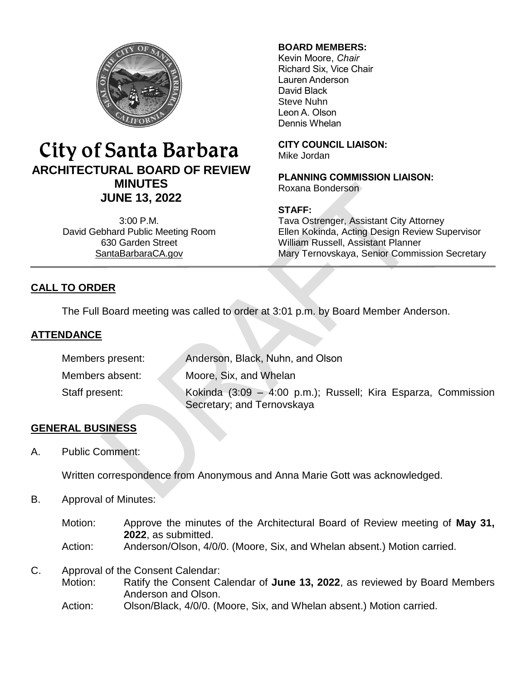

# City of Santa Barbara **ARCHITECTURAL BOARD OF REVIEW MINUTES JUNE 13, 2022**

3:00 P.M. David Gebhard Public Meeting Room 630 Garden Street [SantaBarbaraCA.gov](http://www.santabarbaraca.gov/)

# **BOARD MEMBERS:**

Kevin Moore, *Chair* Richard Six, Vice Chair Lauren Anderson David Black Steve Nuhn Leon A. Olson Dennis Whelan

**CITY COUNCIL LIAISON:**

Mike Jordan

**PLANNING COMMISSION LIAISON:** Roxana Bonderson

# **STAFF:**

Tava Ostrenger, Assistant City Attorney Ellen Kokinda, Acting Design Review Supervisor William Russell, Assistant Planner Mary Ternovskaya, Senior Commission Secretary

# **CALL TO ORDER**

The Full Board meeting was called to order at 3:01 p.m. by Board Member Anderson.

# **ATTENDANCE**

| Members present: | Anderson, Black, Nuhn, and Olson                                                            |
|------------------|---------------------------------------------------------------------------------------------|
| Members absent:  | Moore, Six, and Whelan                                                                      |
| Staff present:   | Kokinda (3:09 – 4:00 p.m.); Russell; Kira Esparza, Commission<br>Secretary; and Ternovskaya |

# **GENERAL BUSINESS**

A. Public Comment:

Written correspondence from Anonymous and Anna Marie Gott was acknowledged.

B. Approval of Minutes:

Motion: Approve the minutes of the Architectural Board of Review meeting of **May 31, 2022**, as submitted. Action: Anderson/Olson, 4/0/0. (Moore, Six, and Whelan absent.) Motion carried.

C. Approval of the Consent Calendar:

Motion: Ratify the Consent Calendar of **June 13, 2022**, as reviewed by Board Members Anderson and Olson.

Action: Olson/Black, 4/0/0. (Moore, Six, and Whelan absent.) Motion carried.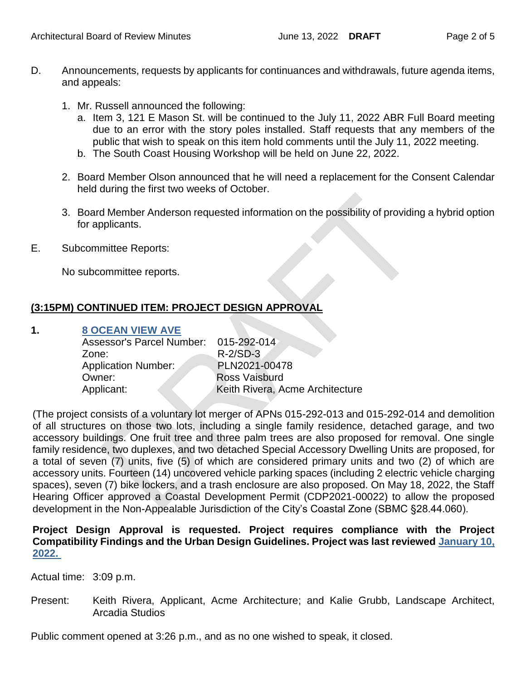- D. Announcements, requests by applicants for continuances and withdrawals, future agenda items, and appeals:
	- 1. Mr. Russell announced the following:
		- a. Item 3, 121 E Mason St. will be continued to the July 11, 2022 ABR Full Board meeting due to an error with the story poles installed. Staff requests that any members of the public that wish to speak on this item hold comments until the July 11, 2022 meeting.
		- b. The South Coast Housing Workshop will be held on June 22, 2022.
	- 2. Board Member Olson announced that he will need a replacement for the Consent Calendar held during the first two weeks of October.
	- 3. Board Member Anderson requested information on the possibility of providing a hybrid option for applicants.
- E. Subcommittee Reports:

No subcommittee reports.

# **(3:15PM) CONTINUED ITEM: PROJECT DESIGN APPROVAL**

#### **1. 8 OCEAN [VIEW AVE](https://www.santabarbaraca.gov/SBdocuments/Advisory_Groups/Architectural_Board_of_Review/Archive/2022_Archives/03_Architectural_Drawings/2022-06-13_June_13_2022_8_Ocean_View.pdf)**

| Assessor's Parcel Number: 015-292-014 |
|---------------------------------------|
| $R-2/SD-3$                            |
| PLN2021-00478                         |
| <b>Ross Vaisburd</b>                  |
| Keith Rivera, Acme Architecture       |
|                                       |

(The project consists of a voluntary lot merger of APNs 015-292-013 and 015-292-014 and demolition of all structures on those two lots, including a single family residence, detached garage, and two accessory buildings. One fruit tree and three palm trees are also proposed for removal. One single family residence, two duplexes, and two detached Special Accessory Dwelling Units are proposed, for a total of seven (7) units, five (5) of which are considered primary units and two (2) of which are accessory units. Fourteen (14) uncovered vehicle parking spaces (including 2 electric vehicle charging spaces), seven (7) bike lockers, and a trash enclosure are also proposed. On May 18, 2022, the Staff Hearing Officer approved a Coastal Development Permit (CDP2021-00022) to allow the proposed development in the Non-Appealable Jurisdiction of the City's Coastal Zone (SBMC §28.44.060).

**Project Design Approval is requested. Project requires compliance with the Project Compatibility Findings and the Urban Design Guidelines. Project was last reviewed [January 10,](https://www.santabarbaraca.gov/SBdocuments/Advisory_Groups/Architectural_Board_of_Review/Archive/2022_Archives/05_Minutes/2022-01-10-_January_10_2022_Minutes.pdf)  [2022.](https://www.santabarbaraca.gov/SBdocuments/Advisory_Groups/Architectural_Board_of_Review/Archive/2022_Archives/05_Minutes/2022-01-10-_January_10_2022_Minutes.pdf)**

Actual time: 3:09 p.m.

Present: Keith Rivera, Applicant, Acme Architecture; and Kalie Grubb, Landscape Architect, Arcadia Studios

Public comment opened at 3:26 p.m., and as no one wished to speak, it closed.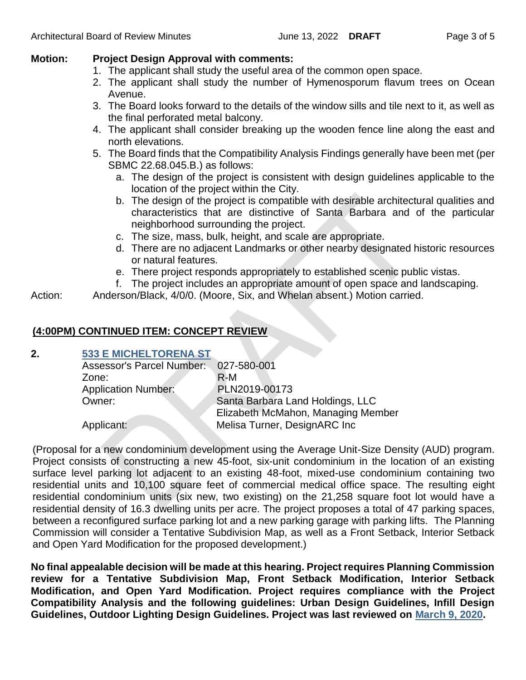# **Motion: Project Design Approval with comments:**

- 1. The applicant shall study the useful area of the common open space.
- 2. The applicant shall study the number of Hymenosporum flavum trees on Ocean Avenue.
- 3. The Board looks forward to the details of the window sills and tile next to it, as well as the final perforated metal balcony.
- 4. The applicant shall consider breaking up the wooden fence line along the east and north elevations.
- 5. The Board finds that the Compatibility Analysis Findings generally have been met (per SBMC 22.68.045.B.) as follows:
	- a. The design of the project is consistent with design guidelines applicable to the location of the project within the City.
	- b. The design of the project is compatible with desirable architectural qualities and characteristics that are distinctive of Santa Barbara and of the particular neighborhood surrounding the project.
	- c. The size, mass, bulk, height, and scale are appropriate.
	- d. There are no adjacent Landmarks or other nearby designated historic resources or natural features.
	- e. There project responds appropriately to established scenic public vistas.
	- f. The project includes an appropriate amount of open space and landscaping.
- Action: Anderson/Black, 4/0/0. (Moore, Six, and Whelan absent.) Motion carried.

# **(4:00PM) CONTINUED ITEM: CONCEPT REVIEW**

# **2. [533 E MICHELTORENA ST](https://www.santabarbaraca.gov/SBdocuments/Advisory_Groups/Architectural_Board_of_Review/Archive/2022_Archives/03_Architectural_Drawings/2022-06-13_June_13_2022_533_E_Micheltorena_St.pdf)**

| Assessor's Parcel Number:  | 027-580-001                        |
|----------------------------|------------------------------------|
| Zone:                      | $R-M$                              |
| <b>Application Number:</b> | PLN2019-00173                      |
| Owner:                     | Santa Barbara Land Holdings, LLC   |
|                            | Elizabeth McMahon, Managing Member |
| Applicant:                 | Melisa Turner, DesignARC Inc       |

(Proposal for a new condominium development using the Average Unit-Size Density (AUD) program. Project consists of constructing a new 45-foot, six-unit condominium in the location of an existing surface level parking lot adjacent to an existing 48-foot, mixed-use condominium containing two residential units and 10,100 square feet of commercial medical office space. The resulting eight residential condominium units (six new, two existing) on the 21,258 square foot lot would have a residential density of 16.3 dwelling units per acre. The project proposes a total of 47 parking spaces, between a reconfigured surface parking lot and a new parking garage with parking lifts. The Planning Commission will consider a Tentative Subdivision Map, as well as a Front Setback, Interior Setback and Open Yard Modification for the proposed development.)

**No final appealable decision will be made at this hearing. Project requires Planning Commission review for a Tentative Subdivision Map, Front Setback Modification, Interior Setback Modification, and Open Yard Modification. Project requires compliance with the Project Compatibility Analysis and the following guidelines: Urban Design Guidelines, Infill Design Guidelines, Outdoor Lighting Design Guidelines. Project was last reviewed on [March 9, 2020.](https://www.santabarbaraca.gov/SBdocuments/Advisory_Groups/Architectural_Board_of_Review/Archive/2020_Archives/06_Minutes/2020-03-09-_March_9_2020_Minutes.pdf)**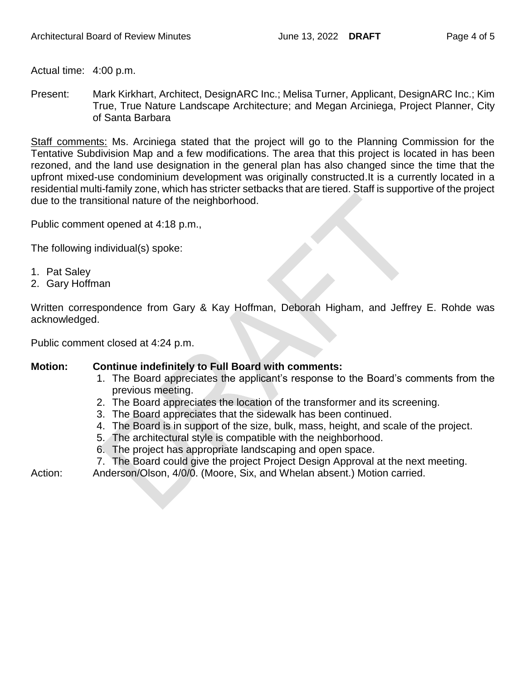Actual time: 4:00 p.m.

Present: Mark Kirkhart, Architect, DesignARC Inc.; Melisa Turner, Applicant, DesignARC Inc.; Kim True, True Nature Landscape Architecture; and Megan Arciniega, Project Planner, City of Santa Barbara

Staff comments: Ms. Arciniega stated that the project will go to the Planning Commission for the Tentative Subdivision Map and a few modifications. The area that this project is located in has been rezoned, and the land use designation in the general plan has also changed since the time that the upfront mixed-use condominium development was originally constructed.It is a currently located in a residential multi-family zone, which has stricter setbacks that are tiered. Staff is supportive of the project due to the transitional nature of the neighborhood.

Public comment opened at 4:18 p.m.,

The following individual(s) spoke:

- 1. Pat Saley
- 2. Gary Hoffman

Written correspondence from Gary & Kay Hoffman, Deborah Higham, and Jeffrey E. Rohde was acknowledged.

Public comment closed at 4:24 p.m.

#### **Motion: Continue indefinitely to Full Board with comments:**

- 1. The Board appreciates the applicant's response to the Board's comments from the previous meeting.
- 2. The Board appreciates the location of the transformer and its screening.
- 3. The Board appreciates that the sidewalk has been continued.
- 4. The Board is in support of the size, bulk, mass, height, and scale of the project.
- 5. The architectural style is compatible with the neighborhood.
- 6. The project has appropriate landscaping and open space.
- 7. The Board could give the project Project Design Approval at the next meeting.

Action: Anderson/Olson, 4/0/0. (Moore, Six, and Whelan absent.) Motion carried.